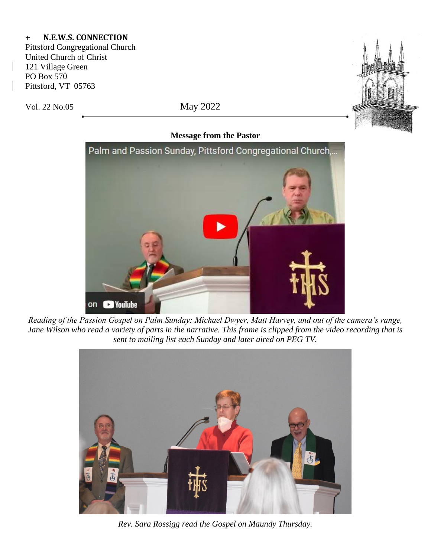## **+ N.E.W.S. CONNECTION**

Pittsford Congregational Church United Church of Christ 121 Village Green PO Box 570 Pittsford, VT 05763

Vol. 22 No.05 May 2022





*Reading of the Passion Gospel on Palm Sunday: Michael Dwyer, Matt Harvey, and out of the camera's range, Jane Wilson who read a variety of parts in the narrative. This frame is clipped from the video recording that is sent to mailing list each Sunday and later aired on PEG TV.*



*Rev. Sara Rossigg read the Gospel on Maundy Thursday.*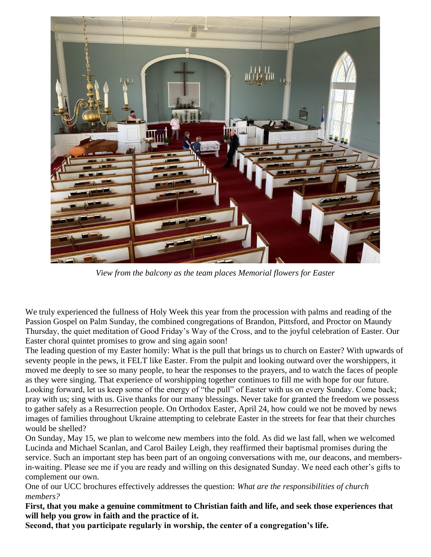

*View from the balcony as the team places Memorial flowers for Easter*

We truly experienced the fullness of Holy Week this year from the procession with palms and reading of the Passion Gospel on Palm Sunday, the combined congregations of Brandon, Pittsford, and Proctor on Maundy Thursday, the quiet meditation of Good Friday's Way of the Cross, and to the joyful celebration of Easter. Our Easter choral quintet promises to grow and sing again soon!

The leading question of my Easter homily: What is the pull that brings us to church on Easter? With upwards of seventy people in the pews, it FELT like Easter. From the pulpit and looking outward over the worshippers, it moved me deeply to see so many people, to hear the responses to the prayers, and to watch the faces of people as they were singing. That experience of worshipping together continues to fill me with hope for our future. Looking forward, let us keep some of the energy of "the pull" of Easter with us on every Sunday. Come back; pray with us; sing with us. Give thanks for our many blessings. Never take for granted the freedom we possess to gather safely as a Resurrection people. On Orthodox Easter, April 24, how could we not be moved by news images of families throughout Ukraine attempting to celebrate Easter in the streets for fear that their churches would be shelled?

On Sunday, May 15, we plan to welcome new members into the fold. As did we last fall, when we welcomed Lucinda and Michael Scanlan, and Carol Bailey Leigh, they reaffirmed their baptismal promises during the service. Such an important step has been part of an ongoing conversations with me, our deacons, and membersin-waiting. Please see me if you are ready and willing on this designated Sunday. We need each other's gifts to complement our own.

One of our UCC brochures effectively addresses the question: *What are the responsibilities of church members?*

**First, that you make a genuine commitment to Christian faith and life, and seek those experiences that will help you grow in faith and the practice of it.**

**Second, that you participate regularly in worship, the center of a congregation's life.**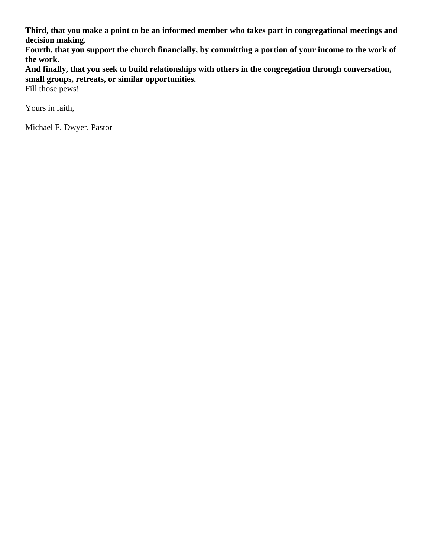**Third, that you make a point to be an informed member who takes part in congregational meetings and decision making.**

**Fourth, that you support the church financially, by committing a portion of your income to the work of the work.**

**And finally, that you seek to build relationships with others in the congregation through conversation, small groups, retreats, or similar opportunities.** Fill those pews!

Yours in faith,

Michael F. Dwyer, Pastor